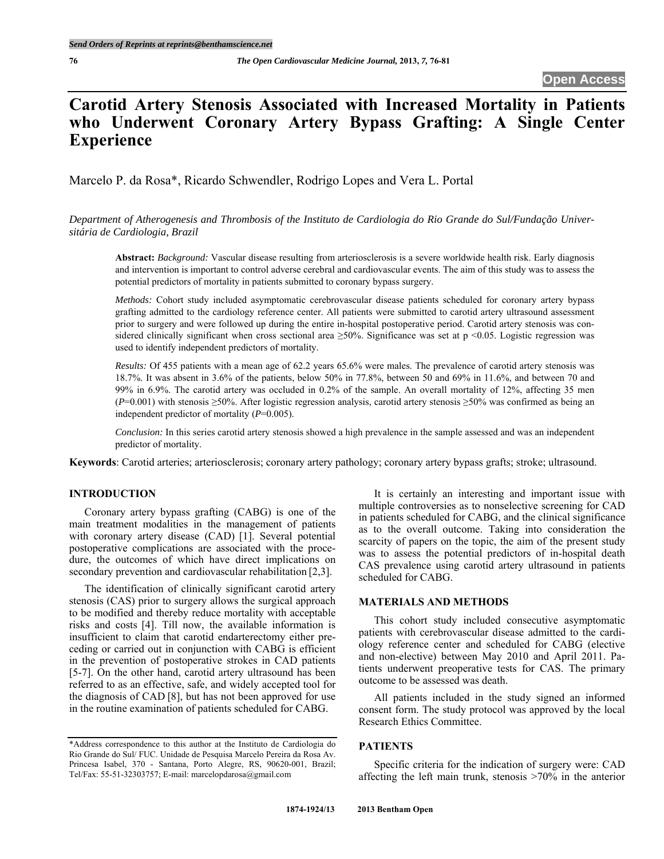# **Carotid Artery Stenosis Associated with Increased Mortality in Patients who Underwent Coronary Artery Bypass Grafting: A Single Center Experience**

Marcelo P. da Rosa\*, Ricardo Schwendler, Rodrigo Lopes and Vera L. Portal

*Department of Atherogenesis and Thrombosis of the Instituto de Cardiologia do Rio Grande do Sul/Fundação Universitária de Cardiologia, Brazil* 

**Abstract:** *Background:* Vascular disease resulting from arteriosclerosis is a severe worldwide health risk. Early diagnosis and intervention is important to control adverse cerebral and cardiovascular events. The aim of this study was to assess the potential predictors of mortality in patients submitted to coronary bypass surgery.

*Methods:* Cohort study included asymptomatic cerebrovascular disease patients scheduled for coronary artery bypass grafting admitted to the cardiology reference center. All patients were submitted to carotid artery ultrasound assessment prior to surgery and were followed up during the entire in-hospital postoperative period. Carotid artery stenosis was considered clinically significant when cross sectional area  $\geq 50\%$ . Significance was set at p <0.05. Logistic regression was used to identify independent predictors of mortality.

*Results:* Of 455 patients with a mean age of 62.2 years 65.6% were males. The prevalence of carotid artery stenosis was 18.7%. It was absent in 3.6% of the patients, below 50% in 77.8%, between 50 and 69% in 11.6%, and between 70 and 99% in 6.9%. The carotid artery was occluded in 0.2% of the sample. An overall mortality of 12%, affecting 35 men (*P*=0.001) with stenosis ≥50%. After logistic regression analysis, carotid artery stenosis ≥50% was confirmed as being an independent predictor of mortality (*P*=0.005).

*Conclusion:* In this series carotid artery stenosis showed a high prevalence in the sample assessed and was an independent predictor of mortality.

**Keywords**: Carotid arteries; arteriosclerosis; coronary artery pathology; coronary artery bypass grafts; stroke; ultrasound.

### **INTRODUCTION**

 Coronary artery bypass grafting (CABG) is one of the main treatment modalities in the management of patients with coronary artery disease (CAD) [1]. Several potential postoperative complications are associated with the procedure, the outcomes of which have direct implications on secondary prevention and cardiovascular rehabilitation [2,3].

 The identification of clinically significant carotid artery stenosis (CAS) prior to surgery allows the surgical approach to be modified and thereby reduce mortality with acceptable risks and costs [4]. Till now, the available information is insufficient to claim that carotid endarterectomy either preceding or carried out in conjunction with CABG is efficient in the prevention of postoperative strokes in CAD patients [5-7]. On the other hand, carotid artery ultrasound has been referred to as an effective, safe, and widely accepted tool for the diagnosis of CAD [8], but has not been approved for use in the routine examination of patients scheduled for CABG.

 It is certainly an interesting and important issue with multiple controversies as to nonselective screening for CAD in patients scheduled for CABG, and the clinical significance as to the overall outcome. Taking into consideration the scarcity of papers on the topic, the aim of the present study was to assess the potential predictors of in-hospital death CAS prevalence using carotid artery ultrasound in patients scheduled for CABG.

## **MATERIALS AND METHODS**

 This cohort study included consecutive asymptomatic patients with cerebrovascular disease admitted to the cardiology reference center and scheduled for CABG (elective and non-elective) between May 2010 and April 2011. Patients underwent preoperative tests for CAS. The primary outcome to be assessed was death.

 All patients included in the study signed an informed consent form. The study protocol was approved by the local Research Ethics Committee.

# **PATIENTS**

 Specific criteria for the indication of surgery were: CAD affecting the left main trunk, stenosis >70% in the anterior

<sup>\*</sup>Address correspondence to this author at the Instituto de Cardiologia do Rio Grande do Sul/ FUC. Unidade de Pesquisa Marcelo Pereira da Rosa Av. Princesa Isabel, 370 - Santana, Porto Alegre, RS, 90620-001, Brazil; Tel/Fax: 55-51-32303757; E-mail: marcelopdarosa@gmail.com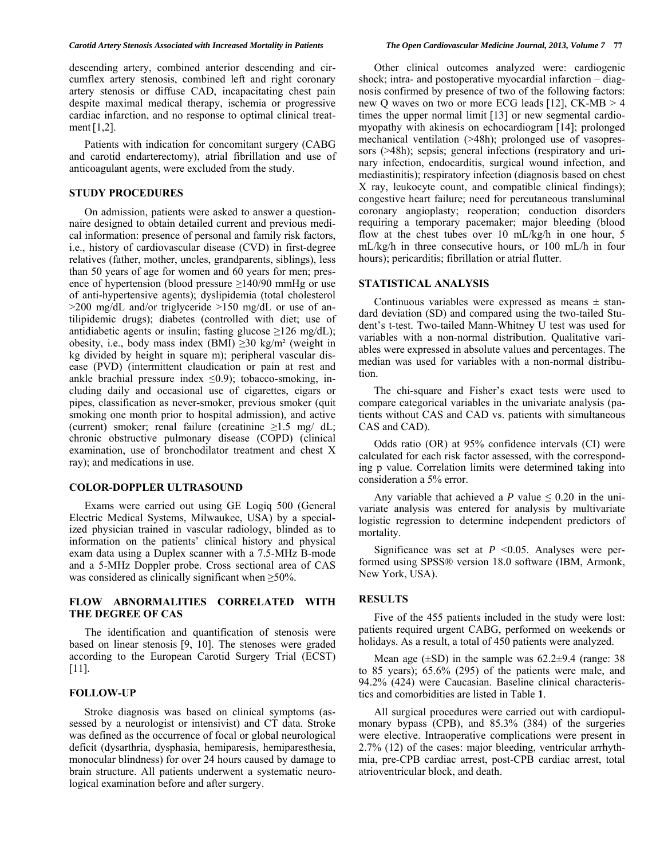descending artery, combined anterior descending and circumflex artery stenosis, combined left and right coronary artery stenosis or diffuse CAD, incapacitating chest pain despite maximal medical therapy, ischemia or progressive cardiac infarction, and no response to optimal clinical treatment[1,2].

 Patients with indication for concomitant surgery (CABG and carotid endarterectomy), atrial fibrillation and use of anticoagulant agents, were excluded from the study.

### **STUDY PROCEDURES**

 On admission, patients were asked to answer a questionnaire designed to obtain detailed current and previous medical information: presence of personal and family risk factors, i.e., history of cardiovascular disease (CVD) in first-degree relatives (father, mother, uncles, grandparents, siblings), less than 50 years of age for women and 60 years for men; presence of hypertension (blood pressure  $\geq$ 140/90 mmHg or use of anti-hypertensive agents); dyslipidemia (total cholesterol >200 mg/dL and/or triglyceride >150 mg/dL or use of antilipidemic drugs); diabetes (controlled with diet; use of antidiabetic agents or insulin; fasting glucose  $\geq$ 126 mg/dL); obesity, i.e., body mass index (BMI)  $\geq 30$  kg/m<sup>2</sup> (weight in kg divided by height in square m); peripheral vascular disease (PVD) (intermittent claudication or pain at rest and ankle brachial pressure index  $\leq 0.9$ ; tobacco-smoking, including daily and occasional use of cigarettes, cigars or pipes, classification as never-smoker, previous smoker (quit smoking one month prior to hospital admission), and active (current) smoker; renal failure (creatinine  $\geq 1.5$  mg/ dL; chronic obstructive pulmonary disease (COPD) (clinical examination, use of bronchodilator treatment and chest X ray); and medications in use.

#### **COLOR-DOPPLER ULTRASOUND**

 Exams were carried out using GE Logiq 500 (General Electric Medical Systems, Milwaukee, USA) by a specialized physician trained in vascular radiology, blinded as to information on the patients' clinical history and physical exam data using a Duplex scanner with a 7.5-MHz B-mode and a 5-MHz Doppler probe. Cross sectional area of CAS was considered as clinically significant when ≥50%.

#### **FLOW ABNORMALITIES CORRELATED WITH THE DEGREE OF CAS**

 The identification and quantification of stenosis were based on linear stenosis [9, 10]. The stenoses were graded according to the European Carotid Surgery Trial (ECST) [11].

# **FOLLOW-UP**

 Stroke diagnosis was based on clinical symptoms (assessed by a neurologist or intensivist) and CT data. Stroke was defined as the occurrence of focal or global neurological deficit (dysarthria, dysphasia, hemiparesis, hemiparesthesia, monocular blindness) for over 24 hours caused by damage to brain structure. All patients underwent a systematic neurological examination before and after surgery.

 Other clinical outcomes analyzed were: cardiogenic shock; intra- and postoperative myocardial infarction – diagnosis confirmed by presence of two of the following factors: new Q waves on two or more ECG leads [12], CK-MB > 4 times the upper normal limit [13] or new segmental cardiomyopathy with akinesis on echocardiogram [14]; prolonged mechanical ventilation (>48h); prolonged use of vasopressors ( $>48h$ ); sepsis; general infections (respiratory and urinary infection, endocarditis, surgical wound infection, and mediastinitis); respiratory infection (diagnosis based on chest X ray, leukocyte count, and compatible clinical findings); congestive heart failure; need for percutaneous transluminal coronary angioplasty; reoperation; conduction disorders requiring a temporary pacemaker; major bleeding (blood flow at the chest tubes over 10 mL/kg/h in one hour, 5 mL/kg/h in three consecutive hours, or 100 mL/h in four hours); pericarditis; fibrillation or atrial flutter.

#### **STATISTICAL ANALYSIS**

Continuous variables were expressed as means  $\pm$  standard deviation (SD) and compared using the two-tailed Student's t-test. Two-tailed Mann-Whitney U test was used for variables with a non-normal distribution. Qualitative variables were expressed in absolute values and percentages. The median was used for variables with a non-normal distribution.

 The chi-square and Fisher's exact tests were used to compare categorical variables in the univariate analysis (patients without CAS and CAD vs. patients with simultaneous CAS and CAD).

 Odds ratio (OR) at 95% confidence intervals (CI) were calculated for each risk factor assessed, with the corresponding p value. Correlation limits were determined taking into consideration a 5% error.

Any variable that achieved a *P* value  $\leq 0.20$  in the univariate analysis was entered for analysis by multivariate logistic regression to determine independent predictors of mortality.

Significance was set at  $P \le 0.05$ . Analyses were performed using SPSS® version 18.0 software (IBM, Armonk, New York, USA).

#### **RESULTS**

 Five of the 455 patients included in the study were lost: patients required urgent CABG, performed on weekends or holidays. As a result, a total of 450 patients were analyzed.

Mean age  $(\pm SD)$  in the sample was 62.2 $\pm$ 9.4 (range: 38) to 85 years); 65.6% (295) of the patients were male, and 94.2% (424) were Caucasian. Baseline clinical characteristics and comorbidities are listed in Table **1**.

 All surgical procedures were carried out with cardiopulmonary bypass (CPB), and 85.3% (384) of the surgeries were elective. Intraoperative complications were present in 2.7% (12) of the cases: major bleeding, ventricular arrhythmia, pre-CPB cardiac arrest, post-CPB cardiac arrest, total atrioventricular block, and death.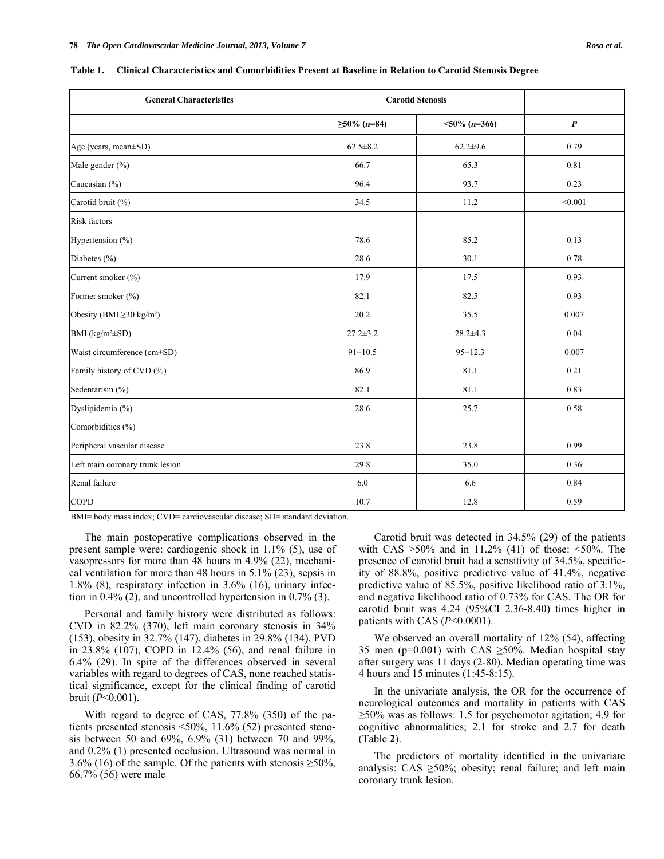| <b>General Characteristics</b>             |                    | <b>Carotid Stenosis</b> |                  |  |
|--------------------------------------------|--------------------|-------------------------|------------------|--|
|                                            | $\geq 50\%$ (n=84) | $<50\%$ (n=366)         | $\boldsymbol{P}$ |  |
| Age (years, mean±SD)                       | $62.5 \pm 8.2$     | $62.2 \pm 9.6$          | 0.79             |  |
| Male gender (%)                            | 66.7               | 65.3                    | 0.81             |  |
| Caucasian (%)                              | 96.4               | 93.7                    | 0.23             |  |
| Carotid bruit (%)                          | 34.5               | 11.2                    | < 0.001          |  |
| <b>Risk factors</b>                        |                    |                         |                  |  |
| Hypertension (%)                           | 78.6               | 85.2                    | 0.13             |  |
| Diabetes (%)                               | 28.6               | 30.1                    | 0.78             |  |
| Current smoker (%)                         | 17.9               | 17.5                    | 0.93             |  |
| Former smoker (%)                          | 82.1               | 82.5                    | 0.93             |  |
| Obesity (BMI $\geq$ 30 kg/m <sup>2</sup> ) | 20.2               | 35.5                    | 0.007            |  |
| BMI ( $kg/m^2 \pm SD$ )                    | $27.2 \pm 3.2$     | $28.2 + 4.3$            | 0.04             |  |
| Waist circumference (cm±SD)                | $91 \pm 10.5$      | $95 \pm 12.3$           | 0.007            |  |
| Family history of CVD (%)                  | 86.9               | 81.1                    | 0.21             |  |
| Sedentarism (%)                            | 82.1               | 81.1                    | 0.83             |  |
| Dyslipidemia (%)                           | 28.6               | 25.7                    | 0.58             |  |
| Comorbidities (%)                          |                    |                         |                  |  |
| Peripheral vascular disease                | 23.8               | 23.8                    | 0.99             |  |
| Left main coronary trunk lesion            | 29.8               | 35.0                    | 0.36             |  |
| Renal failure                              | 6.0                | 6.6                     | 0.84             |  |
| COPD                                       | 10.7               | 12.8                    | 0.59             |  |

**Table 1. Clinical Characteristics and Comorbidities Present at Baseline in Relation to Carotid Stenosis Degree** 

BMI= body mass index; CVD= cardiovascular disease; SD= standard deviation.

 The main postoperative complications observed in the present sample were: cardiogenic shock in 1.1% (5), use of vasopressors for more than 48 hours in 4.9% (22), mechanical ventilation for more than 48 hours in 5.1% (23), sepsis in 1.8% (8), respiratory infection in 3.6% (16), urinary infection in 0.4% (2), and uncontrolled hypertension in 0.7% (3).

 Personal and family history were distributed as follows: CVD in 82.2% (370), left main coronary stenosis in 34% (153), obesity in 32.7% (147), diabetes in 29.8% (134), PVD in 23.8% (107), COPD in 12.4% (56), and renal failure in 6.4% (29). In spite of the differences observed in several variables with regard to degrees of CAS, none reached statistical significance, except for the clinical finding of carotid bruit (*P*<0.001).

 With regard to degree of CAS, 77.8% (350) of the patients presented stenosis <50%, 11.6% (52) presented stenosis between 50 and 69%, 6.9% (31) between 70 and 99%, and 0.2% (1) presented occlusion. Ultrasound was normal in 3.6% (16) of the sample. Of the patients with stenosis  $\geq 50\%$ , 66.7% (56) were male

 Carotid bruit was detected in 34.5% (29) of the patients with CAS  $>50\%$  and in 11.2% (41) of those:  $<50\%$ . The presence of carotid bruit had a sensitivity of 34.5%, specificity of 88.8%, positive predictive value of 41.4%, negative predictive value of 85.5%, positive likelihood ratio of 3.1%, and negative likelihood ratio of 0.73% for CAS. The OR for carotid bruit was 4.24 (95%CI 2.36-8.40) times higher in patients with CAS (*P*<0.0001).

We observed an overall mortality of 12% (54), affecting 35 men (p=0.001) with CAS  $\geq$ 50%. Median hospital stay after surgery was 11 days (2-80). Median operating time was 4 hours and 15 minutes (1:45-8:15).

 In the univariate analysis, the OR for the occurrence of neurological outcomes and mortality in patients with CAS  $\geq$ 50% was as follows: 1.5 for psychomotor agitation; 4.9 for cognitive abnormalities; 2.1 for stroke and 2.7 for death (Table **2**).

 The predictors of mortality identified in the univariate analysis: CAS ≥50%; obesity; renal failure; and left main coronary trunk lesion.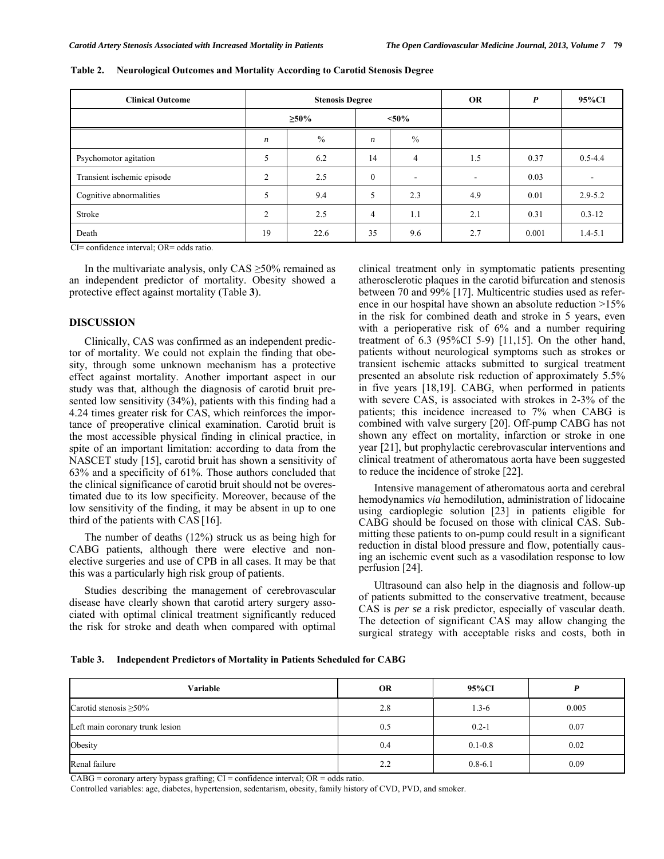| <b>Clinical Outcome</b>    | <b>Stenosis Degree</b> |      |          |                          | <b>OR</b> | $\boldsymbol{P}$ | 95%CI                    |
|----------------------------|------------------------|------|----------|--------------------------|-----------|------------------|--------------------------|
|                            | $\geq 50\%$            |      | $< 50\%$ |                          |           |                  |                          |
|                            | $\boldsymbol{n}$       | $\%$ | n        | $\frac{0}{0}$            |           |                  |                          |
| Psychomotor agitation      | 5                      | 6.2  | 14       | $\overline{4}$           | 1.5       | 0.37             | $0.5 - 4.4$              |
| Transient ischemic episode | $\overline{2}$         | 2.5  | $\theta$ | $\overline{\phantom{a}}$ | -         | 0.03             | $\overline{\phantom{a}}$ |
| Cognitive abnormalities    | 5                      | 9.4  | 5        | 2.3                      | 4.9       | 0.01             | $2.9 - 5.2$              |
| Stroke                     | $\overline{2}$         | 2.5  | 4        | 1.1                      | 2.1       | 0.31             | $0.3 - 12$               |
| Death                      | 19                     | 22.6 | 35       | 9.6                      | 2.7       | 0.001            | $1.4 - 5.1$              |

|  |  |  | Table 2. Neurological Outcomes and Mortality According to Carotid Stenosis Degree |
|--|--|--|-----------------------------------------------------------------------------------|
|  |  |  |                                                                                   |

CI= confidence interval; OR= odds ratio.

In the multivariate analysis, only  $CAS \geq 50\%$  remained as an independent predictor of mortality. Obesity showed a protective effect against mortality (Table **3**).

### **DISCUSSION**

 Clinically, CAS was confirmed as an independent predictor of mortality. We could not explain the finding that obesity, through some unknown mechanism has a protective effect against mortality. Another important aspect in our study was that, although the diagnosis of carotid bruit presented low sensitivity (34%), patients with this finding had a 4.24 times greater risk for CAS, which reinforces the importance of preoperative clinical examination. Carotid bruit is the most accessible physical finding in clinical practice, in spite of an important limitation: according to data from the NASCET study [15], carotid bruit has shown a sensitivity of 63% and a specificity of 61%. Those authors concluded that the clinical significance of carotid bruit should not be overestimated due to its low specificity. Moreover, because of the low sensitivity of the finding, it may be absent in up to one third of the patients with CAS [16].

 The number of deaths (12%) struck us as being high for CABG patients, although there were elective and nonelective surgeries and use of CPB in all cases. It may be that this was a particularly high risk group of patients.

 Studies describing the management of cerebrovascular disease have clearly shown that carotid artery surgery associated with optimal clinical treatment significantly reduced the risk for stroke and death when compared with optimal clinical treatment only in symptomatic patients presenting atherosclerotic plaques in the carotid bifurcation and stenosis between 70 and 99% [17]. Multicentric studies used as reference in our hospital have shown an absolute reduction >15% in the risk for combined death and stroke in 5 years, even with a perioperative risk of 6% and a number requiring treatment of 6.3 (95%CI 5-9) [11,15]. On the other hand, patients without neurological symptoms such as strokes or transient ischemic attacks submitted to surgical treatment presented an absolute risk reduction of approximately 5.5% in five years [18,19]. CABG, when performed in patients with severe CAS, is associated with strokes in 2-3% of the patients; this incidence increased to 7% when CABG is combined with valve surgery [20]. Off-pump CABG has not shown any effect on mortality, infarction or stroke in one year [21], but prophylactic cerebrovascular interventions and clinical treatment of atheromatous aorta have been suggested to reduce the incidence of stroke [22].

 Intensive management of atheromatous aorta and cerebral hemodynamics *via* hemodilution, administration of lidocaine using cardioplegic solution [23] in patients eligible for CABG should be focused on those with clinical CAS. Submitting these patients to on-pump could result in a significant reduction in distal blood pressure and flow, potentially causing an ischemic event such as a vasodilation response to low perfusion [24].

 Ultrasound can also help in the diagnosis and follow-up of patients submitted to the conservative treatment, because CAS is *per se* a risk predictor, especially of vascular death. The detection of significant CAS may allow changing the surgical strategy with acceptable risks and costs, both in

**Table 3. Independent Predictors of Mortality in Patients Scheduled for CABG** 

| Variable                        | <b>OR</b> | 95%CI       |       |
|---------------------------------|-----------|-------------|-------|
| Carotid stenosis $\geq 50\%$    | 2.8       | $1.3 - 6$   | 0.005 |
| Left main coronary trunk lesion | 0.5       | $0.2 - 1$   | 0.07  |
| Obesity                         | 0.4       | $0.1 - 0.8$ | 0.02  |
| Renal failure                   | 2.2       | $0.8 - 6.1$ | 0.09  |

 $CABG =$  coronary artery bypass grafting;  $CI =$  confidence interval;  $OR =$  odds ratio.

Controlled variables: age, diabetes, hypertension, sedentarism, obesity, family history of CVD, PVD, and smoker.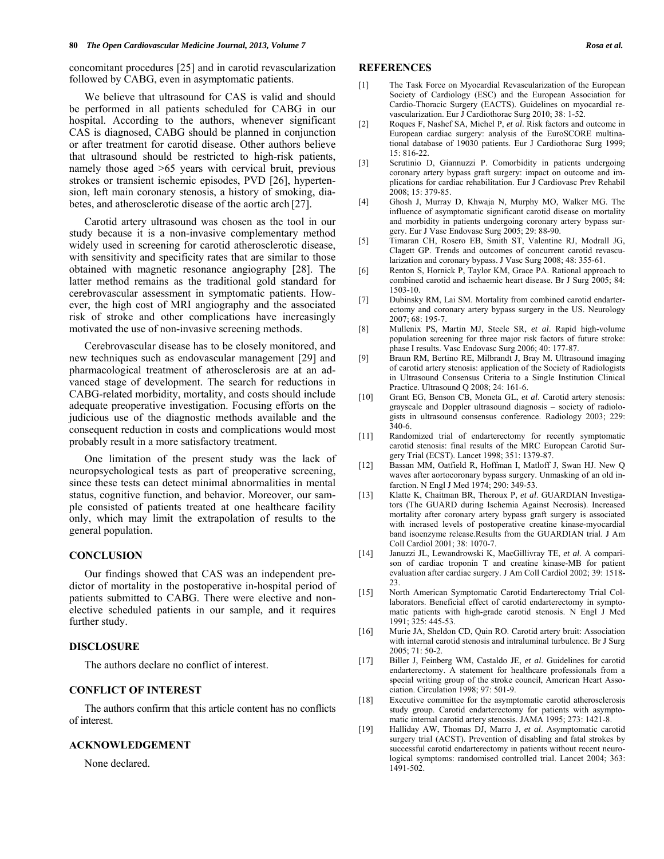concomitant procedures [25] and in carotid revascularization followed by CABG, even in asymptomatic patients.

 We believe that ultrasound for CAS is valid and should be performed in all patients scheduled for CABG in our hospital. According to the authors, whenever significant CAS is diagnosed, CABG should be planned in conjunction or after treatment for carotid disease. Other authors believe that ultrasound should be restricted to high-risk patients, namely those aged >65 years with cervical bruit, previous strokes or transient ischemic episodes, PVD [26], hypertension, left main coronary stenosis, a history of smoking, diabetes, and atherosclerotic disease of the aortic arch [27].

 Carotid artery ultrasound was chosen as the tool in our study because it is a non-invasive complementary method widely used in screening for carotid atherosclerotic disease, with sensitivity and specificity rates that are similar to those obtained with magnetic resonance angiography [28]. The latter method remains as the traditional gold standard for cerebrovascular assessment in symptomatic patients. However, the high cost of MRI angiography and the associated risk of stroke and other complications have increasingly motivated the use of non-invasive screening methods.

 Cerebrovascular disease has to be closely monitored, and new techniques such as endovascular management [29] and pharmacological treatment of atherosclerosis are at an advanced stage of development. The search for reductions in CABG-related morbidity, mortality, and costs should include adequate preoperative investigation. Focusing efforts on the judicious use of the diagnostic methods available and the consequent reduction in costs and complications would most probably result in a more satisfactory treatment.

 One limitation of the present study was the lack of neuropsychological tests as part of preoperative screening, since these tests can detect minimal abnormalities in mental status, cognitive function, and behavior. Moreover, our sample consisted of patients treated at one healthcare facility only, which may limit the extrapolation of results to the general population.

#### **CONCLUSION**

 Our findings showed that CAS was an independent predictor of mortality in the postoperative in-hospital period of patients submitted to CABG. There were elective and nonelective scheduled patients in our sample, and it requires further study.

#### **DISCLOSURE**

The authors declare no conflict of interest.

#### **CONFLICT OF INTEREST**

 The authors confirm that this article content has no conflicts of interest.

#### **ACKNOWLEDGEMENT**

None declared.

#### **REFERENCES**

- [1] The Task Force on Myocardial Revascularization of the European Society of Cardiology (ESC) and the European Association for Cardio-Thoracic Surgery (EACTS). Guidelines on myocardial revascularization. Eur J Cardiothorac Surg 2010; 38: 1-52.
- [2] Roques F, Nashef SA, Michel P, *et al*. Risk factors and outcome in European cardiac surgery: analysis of the EuroSCORE multinational database of 19030 patients. Eur J Cardiothorac Surg 1999;  $15.816 - 22.$
- [3] Scrutinio D, Giannuzzi P. Comorbidity in patients undergoing coronary artery bypass graft surgery: impact on outcome and implications for cardiac rehabilitation. Eur J Cardiovasc Prev Rehabil 2008; 15: 379-85.
- [4] Ghosh J, Murray D, Khwaja N, Murphy MO, Walker MG. The influence of asymptomatic significant carotid disease on mortality and morbidity in patients undergoing coronary artery bypass surgery. Eur J Vasc Endovasc Surg 2005; 29: 88-90.
- [5] Timaran CH, Rosero EB, Smith ST, Valentine RJ, Modrall JG, Clagett GP. Trends and outcomes of concurrent carotid revascularization and coronary bypass. J Vasc Surg 2008; 48: 355-61.
- [6] Renton S, Hornick P, Taylor KM, Grace PA. Rational approach to combined carotid and ischaemic heart disease. Br J Surg 2005; 84: 1503-10.
- [7] Dubinsky RM, Lai SM. Mortality from combined carotid endarterectomy and coronary artery bypass surgery in the US. Neurology 2007; 68: 195-7.
- [8] Mullenix PS, Martin MJ, Steele SR, *et al*. Rapid high-volume population screening for three major risk factors of future stroke: phase I results. Vasc Endovasc Surg 2006; 40: 177-87.
- [9] Braun RM, Bertino RE, Milbrandt J, Bray M. Ultrasound imaging of carotid artery stenosis: application of the Society of Radiologists in Ultrasound Consensus Criteria to a Single Institution Clinical Practice. Ultrasound Q 2008; 24: 161-6.
- [10] Grant EG, Benson CB, Moneta GL, *et al*. Carotid artery stenosis: grayscale and Doppler ultrasound diagnosis – society of radiologists in ultrasound consensus conference. Radiology 2003; 229: 340-6.
- [11] Randomized trial of endarterectomy for recently symptomatic carotid stenosis: final results of the MRC European Carotid Surgery Trial (ECST). Lancet 1998; 351: 1379-87.
- [12] Bassan MM, Oatfield R, Hoffman I, Matloff J, Swan HJ. New Q waves after aortocoronary bypass surgery. Unmasking of an old infarction. N Engl J Med 1974; 290: 349-53.
- [13] Klatte K, Chaitman BR, Theroux P, *et al*. GUARDIAN Investigators (The GUARD during Ischemia Against Necrosis). Increased mortality after coronary artery bypass graft surgery is associated with incrased levels of postoperative creatine kinase-myocardial band isoenzyme release.Results from the GUARDIAN trial. J Am Coll Cardiol 2001; 38: 1070-7.
- [14] Januzzi JL, Lewandrowski K, MacGillivray TE, *et al*. A comparison of cardiac troponin T and creatine kinase-MB for patient evaluation after cardiac surgery. J Am Coll Cardiol 2002; 39: 1518-  $23.$
- [15] North American Symptomatic Carotid Endarterectomy Trial Collaborators. Beneficial effect of carotid endarterectomy in symptomatic patients with high-grade carotid stenosis. N Engl J Med 1991; 325: 445-53.
- [16] Murie JA, Sheldon CD, Quin RO. Carotid artery bruit: Association with internal carotid stenosis and intraluminal turbulence. Br J Surg  $2005 \cdot 71 \cdot 50 - 2$
- [17] Biller J, Feinberg WM, Castaldo JE, *et al*. Guidelines for carotid endarterectomy. A statement for healthcare professionals from a special writing group of the stroke council, American Heart Association. Circulation 1998; 97: 501-9.
- [18] Executive committee for the asymptomatic carotid atherosclerosis study group. Carotid endarterectomy for patients with asymptomatic internal carotid artery stenosis. JAMA 1995; 273: 1421-8.
- [19] Halliday AW, Thomas DJ, Marro J, *et al*. Asymptomatic carotid surgery trial (ACST). Prevention of disabling and fatal strokes by successful carotid endarterectomy in patients without recent neurological symptoms: randomised controlled trial. Lancet 2004; 363: 1491-502.